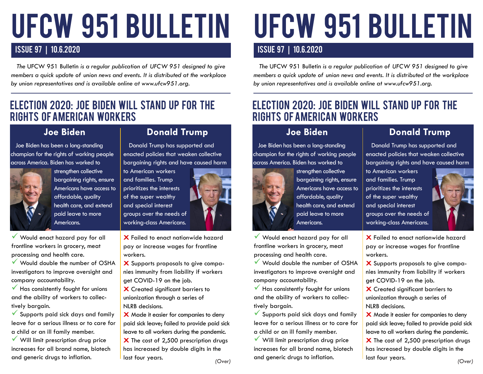# ufcw 951 BULLETIN

## ISSUE 97 | 10.6.2020

 *The* UFCW 951 Bulletin *is a regular publication of UFCW 951 designed to give members a quick update of union news and events. It is distributed at the workplace by union representatives and is available online at www.ufcw951.org.* 

## ELECTION 2020: JOE BIDEN WILL STAND UP FOR THE RIGHTS OF AMERICAN WORKERS

#### **Joe Biden**

 Joe Biden has been a long-standing champion for the rights of working people across America. Biden has worked to



strengthen collective bargaining rights, ensure Americans have access to affordable, quality health care, and extend paid leave to more Americans.

Would enact hazard pay for all frontline workers in grocery, meat processing and health care.

 Would double the number of OSHA investigators to improve oversight and company accountability.

 $\checkmark$  Has consistently fought for unions and the ability of workers to collectively bargain.

 $\checkmark$  Supports paid sick days and family leave for a serious illness or to care for a child or an ill family member.

 $\checkmark$  Will limit prescription drug price increases for all brand name, biotech and generic drugs to inflation.

#### **Donald Trump**

 Donald Trump has supported and enacted policies that weaken collective bargaining rights and have caused harm

to American workers and families. Trump prioritizes the interests of the super wealthy and special interest groups over the needs of working-class Americans.



**X** Failed to enact nationwide hazard pay or increase wages for frontline workers.

**X** Supports proposals to give companies immunity from liability if workers get COVID-19 on the job.

**X** Created significant barriers to unionization through a series of NLRB decisions.

*(Over)* **X** Made it easier for companies to deny paid sick leave; failed to provide paid sick leave to all workers during the pandemic. **X** The cost of 2,500 prescription drugs has increased by double digits in the last four years.